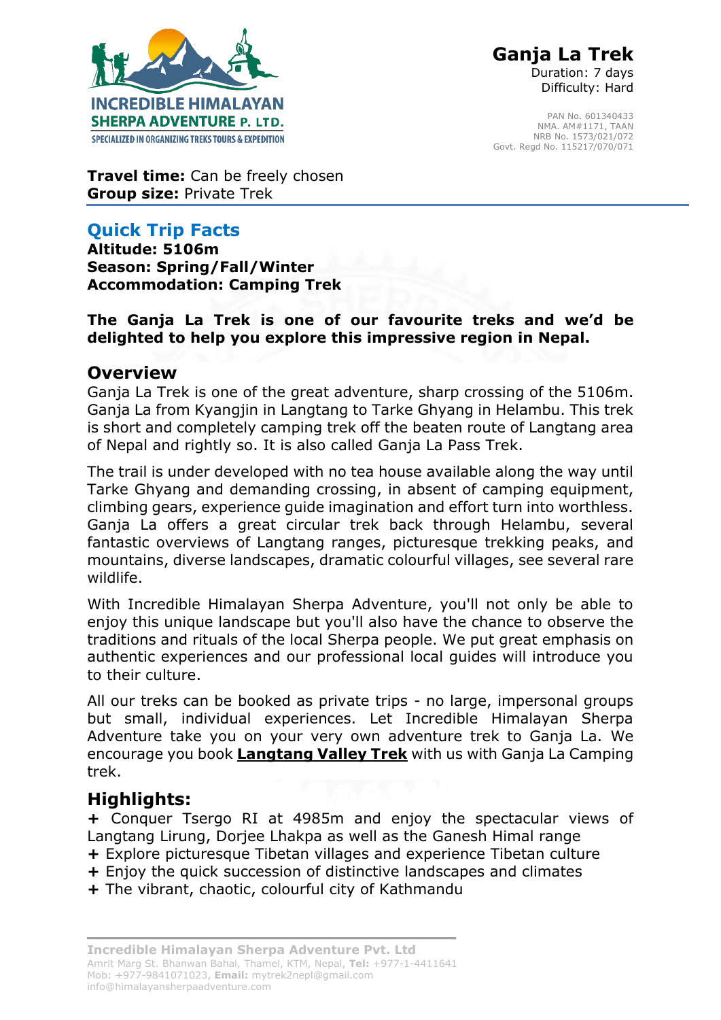

 **Ganja La Trek** Duration: 7 days Difficulty: Hard

PAN No. 601340433 NMA. AM#1171, TAAN NRB No. 1573/021/072 Govt. Regd No. 115217/070/071

**Travel time:** Can be freely chosen **Group size:** Private Trek

# **Quick Trip Facts**

**Altitude: 5106m Season: Spring/Fall/Winter Accommodation: Camping Trek** 

### **The Ganja La Trek is one of our favourite treks and we'd be delighted to help you explore this impressive region in Nepal.**

### **Overview**

Ganja La Trek is one of the great adventure, sharp crossing of the 5106m. Ganja La from Kyangjin in Langtang to Tarke Ghyang in Helambu. This trek is short and completely camping trek off the beaten route of Langtang area of Nepal and rightly so. It is also called Ganja La Pass Trek.

The trail is under developed with no tea house available along the way until Tarke Ghyang and demanding crossing, in absent of camping equipment, climbing gears, experience guide imagination and effort turn into worthless. Ganja La offers a great circular trek back through Helambu, several fantastic overviews of Langtang ranges, picturesque trekking peaks, and mountains, diverse landscapes, dramatic colourful villages, see several rare wildlife.

With Incredible Himalayan Sherpa Adventure, you'll not only be able to enjoy this unique landscape but you'll also have the chance to observe the traditions and rituals of the local Sherpa people. We put great emphasis on authentic experiences and our professional local guides will introduce you to their culture.

All our treks can be booked as private trips - no large, impersonal groups but small, individual experiences. Let Incredible Himalayan Sherpa Adventure take you on your very own adventure trek to Ganja La. We encourage you book **Langtang Valley Trek** with us with Ganja La Camping trek.

## **Highlights:**

**+** Conquer Tsergo RI at 4985m and enjoy the spectacular views of Langtang Lirung, Dorjee Lhakpa as well as the Ganesh Himal range

- **+** Explore picturesque Tibetan villages and experience Tibetan culture
- **+** Enjoy the quick succession of distinctive landscapes and climates
- **+** The vibrant, chaotic, colourful city of Kathmandu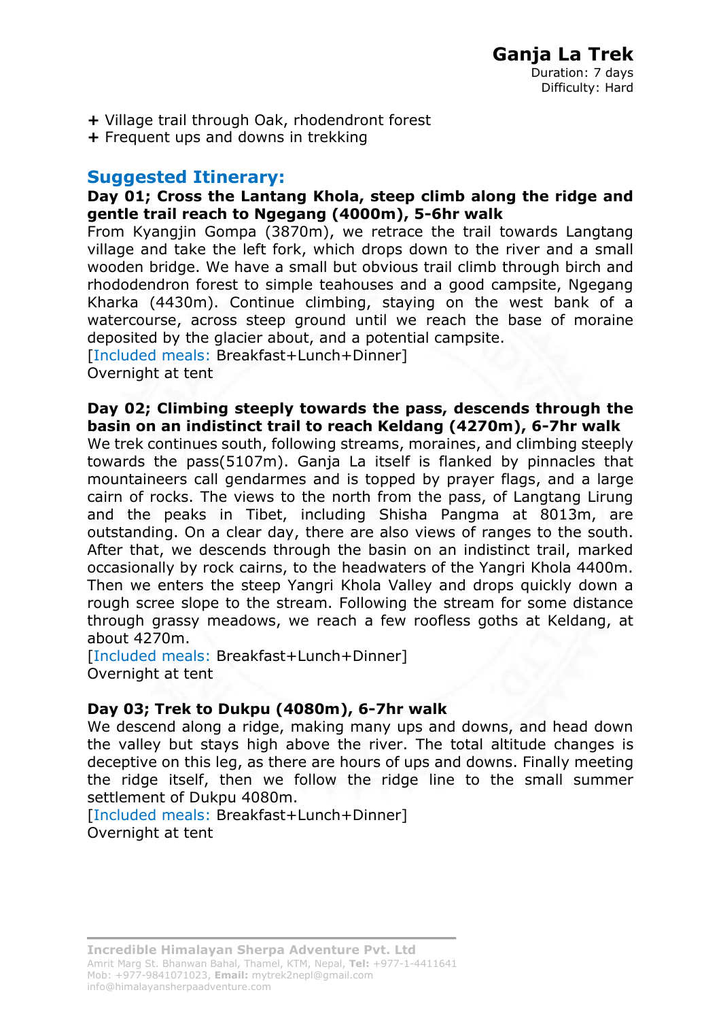- **+** Village trail through Oak, rhodendront forest
- **+** Frequent ups and downs in trekking

### **Suggested Itinerary:**

#### **Day 01; Cross the Lantang Khola, steep climb along the ridge and gentle trail reach to Ngegang (4000m), 5-6hr walk**

From Kyangjin Gompa (3870m), we retrace the trail towards Langtang village and take the left fork, which drops down to the river and a small wooden bridge. We have a small but obvious trail climb through birch and rhododendron forest to simple teahouses and a good campsite, Ngegang Kharka (4430m). Continue climbing, staying on the west bank of a watercourse, across steep ground until we reach the base of moraine deposited by the glacier about, and a potential campsite.

[Included meals: Breakfast+Lunch+Dinner]

Overnight at tent

**Day 02; Climbing steeply towards the pass, descends through the basin on an indistinct trail to reach Keldang (4270m), 6-7hr walk**

We trek continues south, following streams, moraines, and climbing steeply towards the pass(5107m). Ganja La itself is flanked by pinnacles that mountaineers call gendarmes and is topped by prayer flags, and a large cairn of rocks. The views to the north from the pass, of Langtang Lirung and the peaks in Tibet, including Shisha Pangma at 8013m, are outstanding. On a clear day, there are also views of ranges to the south. After that, we descends through the basin on an indistinct trail, marked occasionally by rock cairns, to the headwaters of the Yangri Khola 4400m. Then we enters the steep Yangri Khola Valley and drops quickly down a rough scree slope to the stream. Following the stream for some distance through grassy meadows, we reach a few roofless goths at Keldang, at about 4270m.

[Included meals: Breakfast+Lunch+Dinner] Overnight at tent

### **Day 03; Trek to Dukpu (4080m), 6-7hr walk**

We descend along a ridge, making many ups and downs, and head down the valley but stays high above the river. The total altitude changes is deceptive on this leg, as there are hours of ups and downs. Finally meeting the ridge itself, then we follow the ridge line to the small summer settlement of Dukpu 4080m.

[Included meals: Breakfast+Lunch+Dinner] Overnight at tent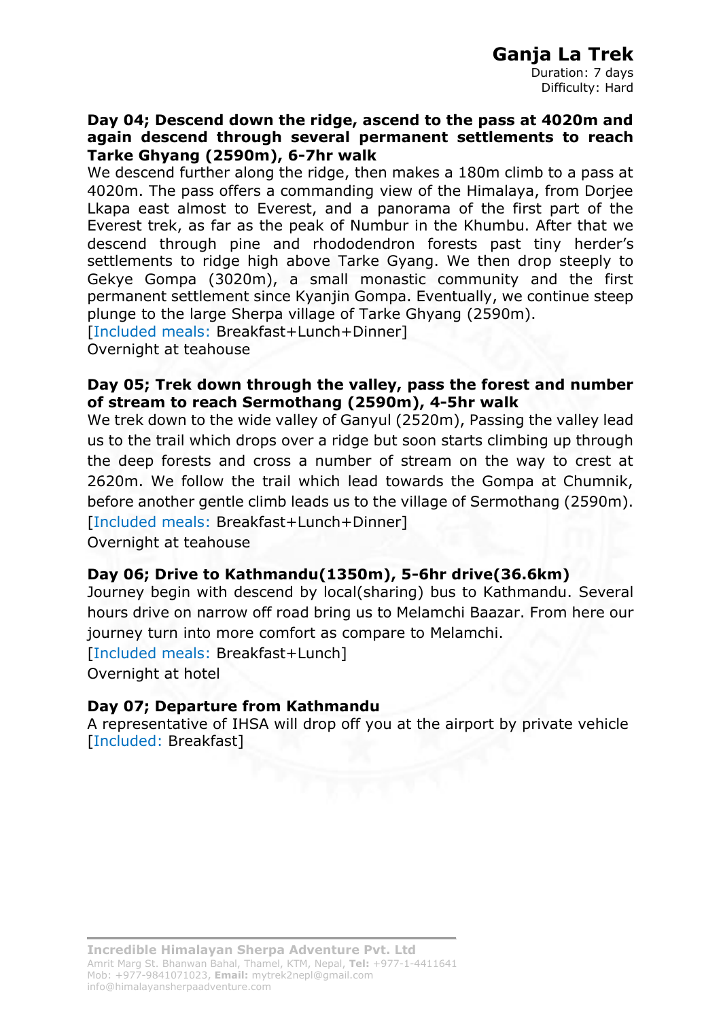Duration: 7 days Difficulty: Hard

#### **Day 04; Descend down the ridge, ascend to the pass at 4020m and again descend through several permanent settlements to reach Tarke Ghyang (2590m), 6-7hr walk**

We descend further along the ridge, then makes a 180m climb to a pass at 4020m. The pass offers a commanding view of the Himalaya, from Dorjee Lkapa east almost to Everest, and a panorama of the first part of the Everest trek, as far as the peak of Numbur in the Khumbu. After that we descend through pine and rhododendron forests past tiny herder's settlements to ridge high above Tarke Gyang. We then drop steeply to Gekye Gompa (3020m), a small monastic community and the first permanent settlement since Kyanjin Gompa. Eventually, we continue steep plunge to the large Sherpa village of Tarke Ghyang (2590m).

[Included meals: Breakfast+Lunch+Dinner]

Overnight at teahouse

#### **Day 05; Trek down through the valley, pass the forest and number of stream to reach Sermothang (2590m), 4-5hr walk**

We trek down to the wide valley of Ganyul (2520m), Passing the valley lead us to the trail which drops over a ridge but soon starts climbing up through the deep forests and cross a number of stream on the way to crest at 2620m. We follow the trail which lead towards the Gompa at Chumnik, before another gentle climb leads us to the village of Sermothang (2590m). [Included meals: Breakfast+Lunch+Dinner]

Overnight at teahouse

#### **Day 06; Drive to Kathmandu(1350m), 5-6hr drive(36.6km)**

Journey begin with descend by local(sharing) bus to Kathmandu. Several hours drive on narrow off road bring us to Melamchi Baazar. From here our journey turn into more comfort as compare to Melamchi.

[Included meals: Breakfast+Lunch]

Overnight at hotel

#### **Day 07; Departure from Kathmandu**

A representative of IHSA will drop off you at the airport by private vehicle [Included: Breakfast]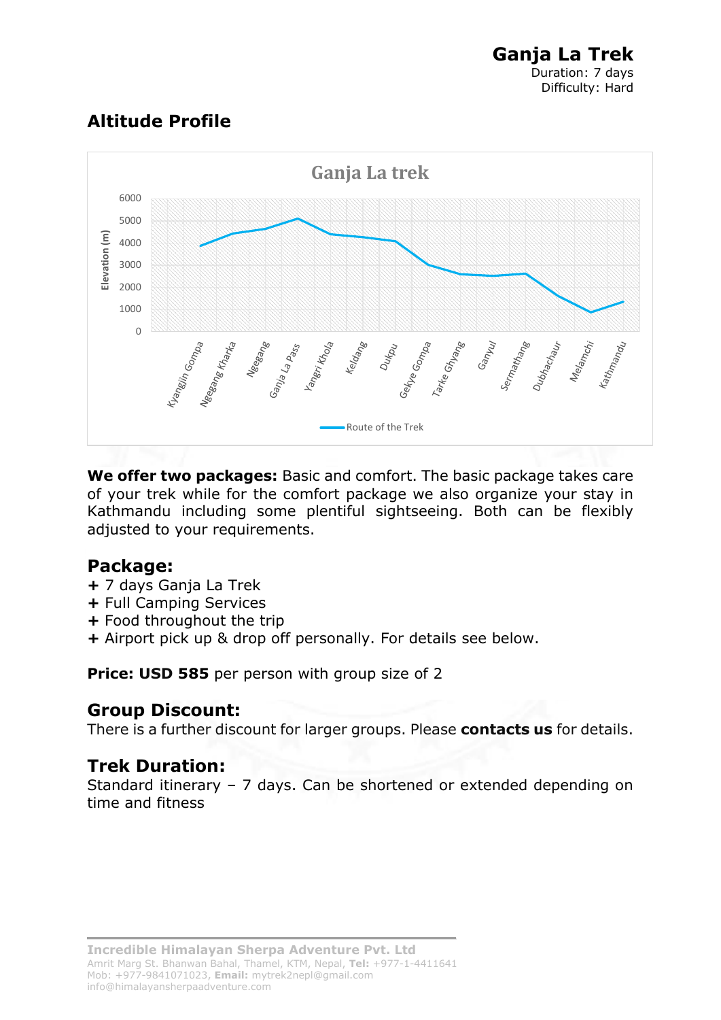# **Altitude Profile**



**We offer two packages:** Basic and comfort. The basic package takes care of your trek while for the comfort package we also organize your stay in Kathmandu including some plentiful sightseeing. Both can be flexibly adjusted to your requirements.

## **Package:**

- **+** 7 days Ganja La Trek
- **+** Full Camping Services
- **+** Food throughout the trip
- **+** Airport pick up & drop off personally. For details see below.

**Price: USD 585** per person with group size of 2

## **Group Discount:**

There is a further discount for larger groups. Please **contacts us** for details.

## **Trek Duration:**

Standard itinerary – 7 days. Can be shortened or extended depending on time and fitness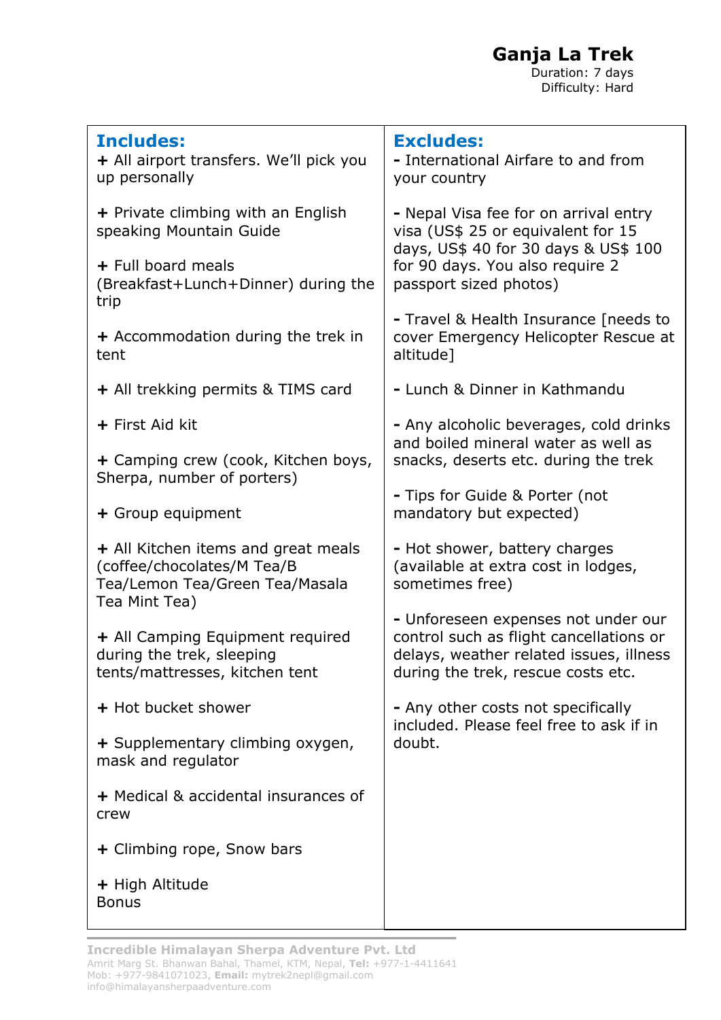**Ganja La Trek**

*Duration: 7 days* **Difficulty: Hard** 

| <b>Includes:</b><br>+ All airport transfers. We'll pick you<br>up personally                                         | <b>Excludes:</b><br>- International Airfare to and from<br>your country                                                                                                            |
|----------------------------------------------------------------------------------------------------------------------|------------------------------------------------------------------------------------------------------------------------------------------------------------------------------------|
| + Private climbing with an English<br>speaking Mountain Guide                                                        | - Nepal Visa fee for on arrival entry<br>visa (US\$ 25 or equivalent for 15<br>days, US\$ 40 for 30 days & US\$ 100<br>for 90 days. You also require 2<br>passport sized photos)   |
| + Full board meals<br>(Breakfast+Lunch+Dinner) during the<br>trip                                                    |                                                                                                                                                                                    |
| + Accommodation during the trek in<br>tent                                                                           | - Travel & Health Insurance [needs to<br>cover Emergency Helicopter Rescue at<br>altitude]                                                                                         |
| + All trekking permits & TIMS card                                                                                   | - Lunch & Dinner in Kathmandu                                                                                                                                                      |
| + First Aid kit                                                                                                      | - Any alcoholic beverages, cold drinks<br>and boiled mineral water as well as<br>snacks, deserts etc. during the trek<br>- Tips for Guide & Porter (not<br>mandatory but expected) |
| + Camping crew (cook, Kitchen boys,<br>Sherpa, number of porters)                                                    |                                                                                                                                                                                    |
| + Group equipment                                                                                                    |                                                                                                                                                                                    |
| + All Kitchen items and great meals<br>(coffee/chocolates/M Tea/B<br>Tea/Lemon Tea/Green Tea/Masala<br>Tea Mint Tea) | - Hot shower, battery charges<br>(available at extra cost in lodges,<br>sometimes free)                                                                                            |
| + All Camping Equipment required<br>during the trek, sleeping<br>tents/mattresses, kitchen tent                      | - Unforeseen expenses not under our<br>control such as flight cancellations or<br>delays, weather related issues, illness<br>during the trek, rescue costs etc.                    |
| + Hot bucket shower                                                                                                  | - Any other costs not specifically<br>included. Please feel free to ask if in<br>doubt.                                                                                            |
| + Supplementary climbing oxygen,<br>mask and regulator                                                               |                                                                                                                                                                                    |
| + Medical & accidental insurances of<br>crew                                                                         |                                                                                                                                                                                    |
| + Climbing rope, Snow bars                                                                                           |                                                                                                                                                                                    |
| + High Altitude<br><b>Bonus</b>                                                                                      |                                                                                                                                                                                    |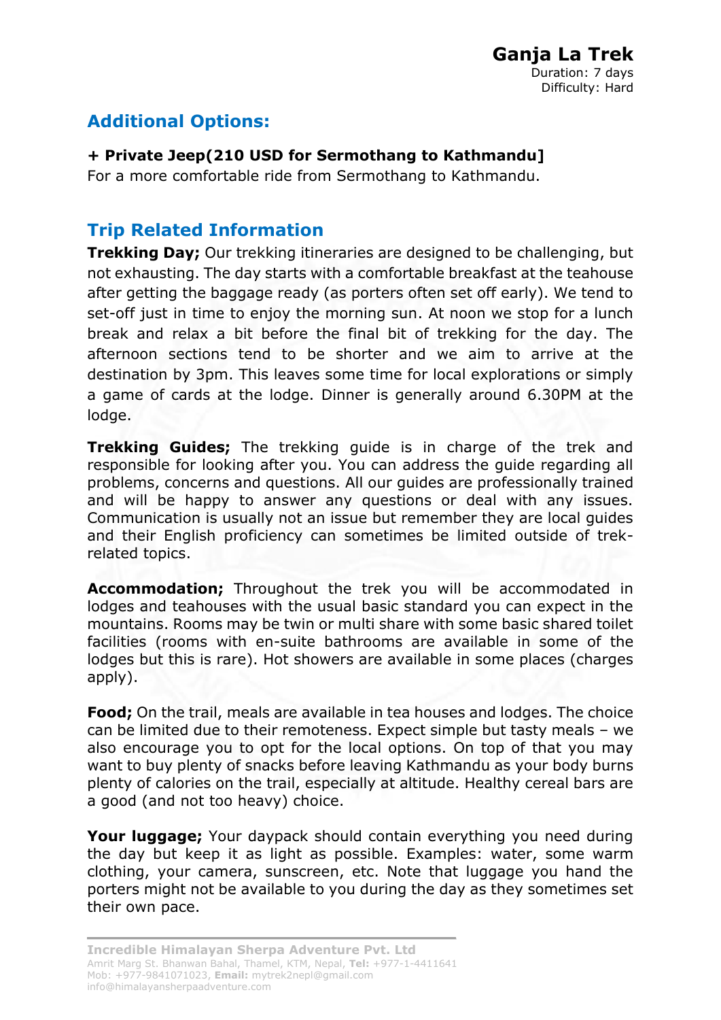# **Additional Options:**

### **+ Private Jeep(210 USD for Sermothang to Kathmandu]**

For a more comfortable ride from Sermothang to Kathmandu.

# **Trip Related Information**

**Trekking Day;** Our trekking itineraries are designed to be challenging, but not exhausting. The day starts with a comfortable breakfast at the teahouse after getting the baggage ready (as porters often set off early). We tend to set-off just in time to enjoy the morning sun. At noon we stop for a lunch break and relax a bit before the final bit of trekking for the day. The afternoon sections tend to be shorter and we aim to arrive at the destination by 3pm. This leaves some time for local explorations or simply a game of cards at the lodge. Dinner is generally around 6.30PM at the lodge.

**Trekking Guides;** The trekking guide is in charge of the trek and responsible for looking after you. You can address the guide regarding all problems, concerns and questions. All our guides are professionally trained and will be happy to answer any questions or deal with any issues. Communication is usually not an issue but remember they are local guides and their English proficiency can sometimes be limited outside of trekrelated topics.

**Accommodation;** Throughout the trek you will be accommodated in lodges and teahouses with the usual basic standard you can expect in the mountains. Rooms may be twin or multi share with some basic shared toilet facilities (rooms with en-suite bathrooms are available in some of the lodges but this is rare). Hot showers are available in some places (charges apply).

**Food;** On the trail, meals are available in tea houses and lodges. The choice can be limited due to their remoteness. Expect simple but tasty meals – we also encourage you to opt for the local options. On top of that you may want to buy plenty of snacks before leaving Kathmandu as your body burns plenty of calories on the trail, especially at altitude. Healthy cereal bars are a good (and not too heavy) choice.

**Your luggage;** Your daypack should contain everything you need during the day but keep it as light as possible. Examples: water, some warm clothing, your camera, sunscreen, etc. Note that luggage you hand the porters might not be available to you during the day as they sometimes set their own pace.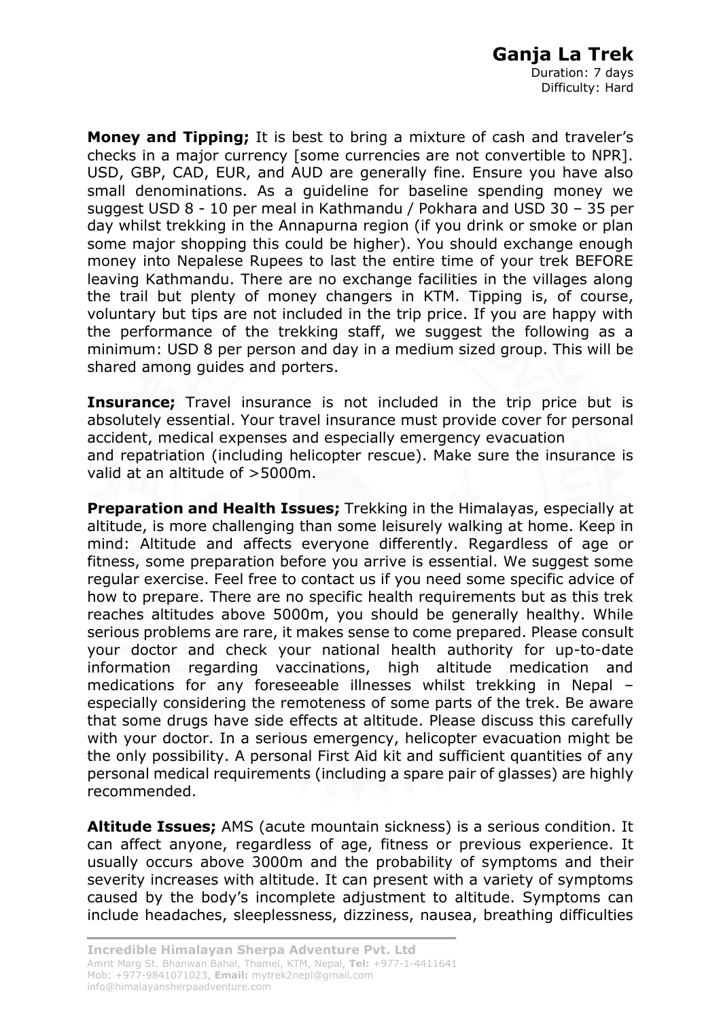**Money and Tipping;** It is best to bring a mixture of cash and traveler's checks in a major currency [some currencies are not convertible to NPR]. USD, GBP, CAD, EUR, and AUD are generally fine. Ensure you have also small denominations. As a guideline for baseline spending money we suggest USD 8 - 10 per meal in Kathmandu / Pokhara and USD 30 – 35 per day whilst trekking in the Annapurna region (if you drink or smoke or plan some major shopping this could be higher). You should exchange enough money into Nepalese Rupees to last the entire time of your trek BEFORE leaving Kathmandu. There are no exchange facilities in the villages along the trail but plenty of money changers in KTM. Tipping is, of course, voluntary but tips are not included in the trip price. If you are happy with the performance of the trekking staff, we suggest the following as a minimum: USD 8 per person and day in a medium sized group. This will be shared among guides and porters.

**Insurance;** Travel insurance is not included in the trip price but is absolutely essential. Your travel insurance must provide cover for personal accident, medical expenses and especially emergency evacuation and repatriation (including helicopter rescue). Make sure the insurance is valid at an altitude of >5000m.

**Preparation and Health Issues;** Trekking in the Himalayas, especially at altitude, is more challenging than some leisurely walking at home. Keep in mind: Altitude and affects everyone differently. Regardless of age or fitness, some preparation before you arrive is essential. We suggest some regular exercise. Feel free to contact us if you need some specific advice of how to prepare. There are no specific health requirements but as this trek reaches altitudes above 5000m, you should be generally healthy. While serious problems are rare, it makes sense to come prepared. Please consult your doctor and check your national health authority for up-to-date information regarding vaccinations, high altitude medication and medications for any foreseeable illnesses whilst trekking in Nepal – especially considering the remoteness of some parts of the trek. Be aware that some drugs have side effects at altitude. Please discuss this carefully with your doctor. In a serious emergency, helicopter evacuation might be the only possibility. A personal First Aid kit and sufficient quantities of any personal medical requirements (including a spare pair of glasses) are highly recommended.

**Altitude Issues;** AMS (acute mountain sickness) is a serious condition. It can affect anyone, regardless of age, fitness or previous experience. It usually occurs above 3000m and the probability of symptoms and their severity increases with altitude. It can present with a variety of symptoms caused by the body's incomplete adjustment to altitude. Symptoms can include headaches, sleeplessness, dizziness, nausea, breathing difficulties